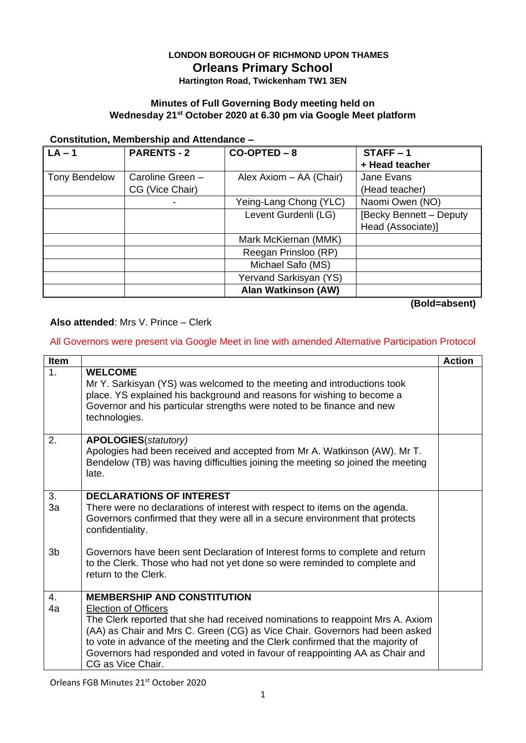# **LONDON BOROUGH OF RICHMOND UPON THAMES Orleans Primary School**

# **Hartington Road, Twickenham TW1 3EN**

## **Minutes of Full Governing Body meeting held on Wednesday 21st October 2020 at 6.30 pm via Google Meet platform**

#### **Constitution, Membership and Attendance –**

| $LA - 1$             | <b>PARENTS - 2</b> | $CO-OPTED - 8$             | $STATE - 1$             |
|----------------------|--------------------|----------------------------|-------------------------|
|                      |                    |                            | + Head teacher          |
| <b>Tony Bendelow</b> | Caroline Green -   | Alex Axiom - AA (Chair)    | Jane Evans              |
|                      | CG (Vice Chair)    |                            | (Head teacher)          |
|                      | -                  | Yeing-Lang Chong (YLC)     | Naomi Owen (NO)         |
|                      |                    | Levent Gurdenli (LG)       | [Becky Bennett - Deputy |
|                      |                    |                            | Head (Associate)]       |
|                      |                    | Mark McKiernan (MMK)       |                         |
|                      |                    | Reegan Prinsloo (RP)       |                         |
|                      |                    | Michael Safo (MS)          |                         |
|                      |                    | Yervand Sarkisyan (YS)     |                         |
|                      |                    | <b>Alan Watkinson (AW)</b> |                         |

**(Bold=absent)**

### **Also attended**: Mrs V. Prince – Clerk

## All Governors were present via Google Meet in line with amended Alternative Participation Protocol

| <b>Item</b>      |                                                                                                                                                                                                                                                                                                                                                                                    | <b>Action</b> |
|------------------|------------------------------------------------------------------------------------------------------------------------------------------------------------------------------------------------------------------------------------------------------------------------------------------------------------------------------------------------------------------------------------|---------------|
| 1.               | <b>WELCOME</b><br>Mr Y. Sarkisyan (YS) was welcomed to the meeting and introductions took<br>place. YS explained his background and reasons for wishing to become a<br>Governor and his particular strengths were noted to be finance and new<br>technologies.                                                                                                                     |               |
| 2.               | <b>APOLOGIES</b> (statutory)<br>Apologies had been received and accepted from Mr A. Watkinson (AW). Mr T.<br>Bendelow (TB) was having difficulties joining the meeting so joined the meeting<br>late.                                                                                                                                                                              |               |
| 3.               | <b>DECLARATIONS OF INTEREST</b>                                                                                                                                                                                                                                                                                                                                                    |               |
| 3a               | There were no declarations of interest with respect to items on the agenda.<br>Governors confirmed that they were all in a secure environment that protects<br>confidentiality.                                                                                                                                                                                                    |               |
| 3 <sub>b</sub>   | Governors have been sent Declaration of Interest forms to complete and return<br>to the Clerk. Those who had not yet done so were reminded to complete and<br>return to the Clerk.                                                                                                                                                                                                 |               |
| $\overline{4}$ . | <b>MEMBERSHIP AND CONSTITUTION</b>                                                                                                                                                                                                                                                                                                                                                 |               |
| 4a               | <b>Election of Officers</b><br>The Clerk reported that she had received nominations to reappoint Mrs A. Axiom<br>(AA) as Chair and Mrs C. Green (CG) as Vice Chair. Governors had been asked<br>to vote in advance of the meeting and the Clerk confirmed that the majority of<br>Governors had responded and voted in favour of reappointing AA as Chair and<br>CG as Vice Chair. |               |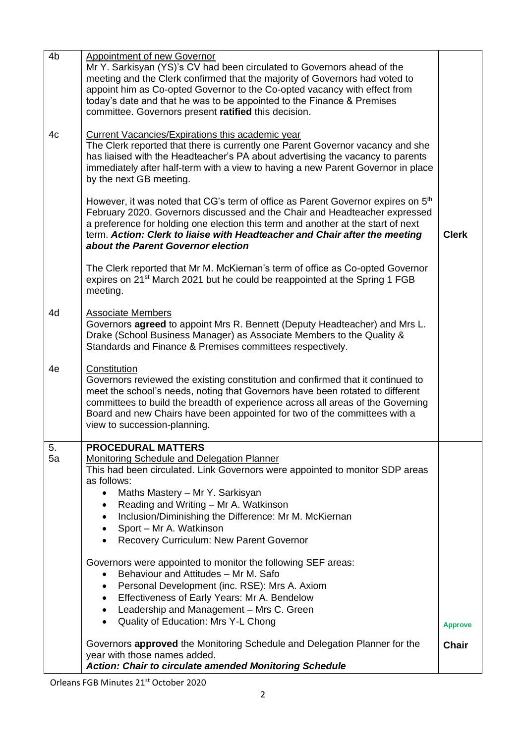| 4 <sub>b</sub> | <b>Appointment of new Governor</b><br>Mr Y. Sarkisyan (YS)'s CV had been circulated to Governors ahead of the<br>meeting and the Clerk confirmed that the majority of Governors had voted to<br>appoint him as Co-opted Governor to the Co-opted vacancy with effect from<br>today's date and that he was to be appointed to the Finance & Premises<br>committee. Governors present ratified this decision.                           |                |  |  |
|----------------|---------------------------------------------------------------------------------------------------------------------------------------------------------------------------------------------------------------------------------------------------------------------------------------------------------------------------------------------------------------------------------------------------------------------------------------|----------------|--|--|
| 4c             | <b>Current Vacancies/Expirations this academic year</b><br>The Clerk reported that there is currently one Parent Governor vacancy and she<br>has liaised with the Headteacher's PA about advertising the vacancy to parents<br>immediately after half-term with a view to having a new Parent Governor in place<br>by the next GB meeting.                                                                                            |                |  |  |
|                | However, it was noted that CG's term of office as Parent Governor expires on 5 <sup>th</sup><br>February 2020. Governors discussed and the Chair and Headteacher expressed<br>a preference for holding one election this term and another at the start of next<br>term. Action: Clerk to liaise with Headteacher and Chair after the meeting<br>about the Parent Governor election                                                    | <b>Clerk</b>   |  |  |
|                | The Clerk reported that Mr M. McKiernan's term of office as Co-opted Governor<br>expires on 21 <sup>st</sup> March 2021 but he could be reappointed at the Spring 1 FGB<br>meeting.                                                                                                                                                                                                                                                   |                |  |  |
| 4d             | <b>Associate Members</b><br>Governors agreed to appoint Mrs R. Bennett (Deputy Headteacher) and Mrs L.<br>Drake (School Business Manager) as Associate Members to the Quality &<br>Standards and Finance & Premises committees respectively.                                                                                                                                                                                          |                |  |  |
| 4e             | Constitution<br>Governors reviewed the existing constitution and confirmed that it continued to<br>meet the school's needs, noting that Governors have been rotated to different<br>committees to build the breadth of experience across all areas of the Governing<br>Board and new Chairs have been appointed for two of the committees with a<br>view to succession-planning.                                                      |                |  |  |
| 5.<br>5a       | <b>PROCEDURAL MATTERS</b><br><b>Monitoring Schedule and Delegation Planner</b><br>This had been circulated. Link Governors were appointed to monitor SDP areas<br>as follows:<br>Maths Mastery - Mr Y. Sarkisyan<br>$\bullet$<br>Reading and Writing - Mr A. Watkinson<br>$\bullet$<br>Inclusion/Diminishing the Difference: Mr M. McKiernan<br>٠<br>Sport - Mr A. Watkinson<br>$\bullet$<br>Recovery Curriculum: New Parent Governor |                |  |  |
|                | Governors were appointed to monitor the following SEF areas:<br>Behaviour and Attitudes - Mr M. Safo<br>$\bullet$<br>Personal Development (inc. RSE): Mrs A. Axiom<br>٠<br>Effectiveness of Early Years: Mr A. Bendelow<br>$\bullet$<br>Leadership and Management - Mrs C. Green<br>$\bullet$<br>Quality of Education: Mrs Y-L Chong<br>$\bullet$                                                                                     | <b>Approve</b> |  |  |
|                | Governors approved the Monitoring Schedule and Delegation Planner for the<br>year with those names added.<br>Action: Chair to circulate amended Monitoring Schedule                                                                                                                                                                                                                                                                   | <b>Chair</b>   |  |  |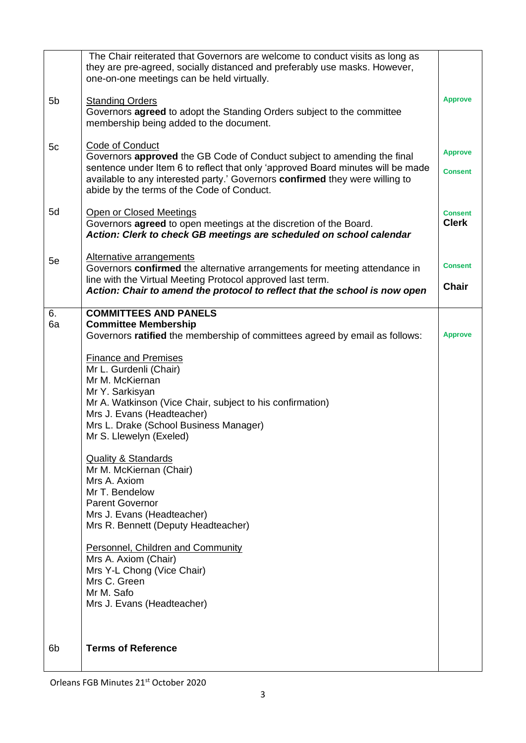|          | The Chair reiterated that Governors are welcome to conduct visits as long as<br>they are pre-agreed, socially distanced and preferably use masks. However,<br>one-on-one meetings can be held virtually.                                                                                                                                                                                                                                                                                                                                                                                                                                                                                                                                                              |                                  |
|----------|-----------------------------------------------------------------------------------------------------------------------------------------------------------------------------------------------------------------------------------------------------------------------------------------------------------------------------------------------------------------------------------------------------------------------------------------------------------------------------------------------------------------------------------------------------------------------------------------------------------------------------------------------------------------------------------------------------------------------------------------------------------------------|----------------------------------|
| 5b       | <b>Standing Orders</b><br>Governors agreed to adopt the Standing Orders subject to the committee<br>membership being added to the document.                                                                                                                                                                                                                                                                                                                                                                                                                                                                                                                                                                                                                           | <b>Approve</b>                   |
| 5c       | Code of Conduct<br>Governors approved the GB Code of Conduct subject to amending the final<br>sentence under Item 6 to reflect that only 'approved Board minutes will be made<br>available to any interested party.' Governors confirmed they were willing to<br>abide by the terms of the Code of Conduct.                                                                                                                                                                                                                                                                                                                                                                                                                                                           | <b>Approve</b><br><b>Consent</b> |
| 5d       | Open or Closed Meetings<br>Governors agreed to open meetings at the discretion of the Board.<br>Action: Clerk to check GB meetings are scheduled on school calendar                                                                                                                                                                                                                                                                                                                                                                                                                                                                                                                                                                                                   | <b>Consent</b><br><b>Clerk</b>   |
| 5e       | Alternative arrangements<br>Governors confirmed the alternative arrangements for meeting attendance in<br>line with the Virtual Meeting Protocol approved last term.<br>Action: Chair to amend the protocol to reflect that the school is now open                                                                                                                                                                                                                                                                                                                                                                                                                                                                                                                    | <b>Consent</b><br><b>Chair</b>   |
| 6.<br>6a | <b>COMMITTEES AND PANELS</b><br><b>Committee Membership</b><br>Governors ratified the membership of committees agreed by email as follows:<br><b>Finance and Premises</b><br>Mr L. Gurdenli (Chair)<br>Mr M. McKiernan<br>Mr Y. Sarkisyan<br>Mr A. Watkinson (Vice Chair, subject to his confirmation)<br>Mrs J. Evans (Headteacher)<br>Mrs L. Drake (School Business Manager)<br>Mr S. Llewelyn (Exeled)<br><b>Quality &amp; Standards</b><br>Mr M. McKiernan (Chair)<br>Mrs A. Axiom<br>Mr T. Bendelow<br><b>Parent Governor</b><br>Mrs J. Evans (Headteacher)<br>Mrs R. Bennett (Deputy Headteacher)<br><b>Personnel, Children and Community</b><br>Mrs A. Axiom (Chair)<br>Mrs Y-L Chong (Vice Chair)<br>Mrs C. Green<br>Mr M. Safo<br>Mrs J. Evans (Headteacher) | <b>Approve</b>                   |
| 6b       | <b>Terms of Reference</b>                                                                                                                                                                                                                                                                                                                                                                                                                                                                                                                                                                                                                                                                                                                                             |                                  |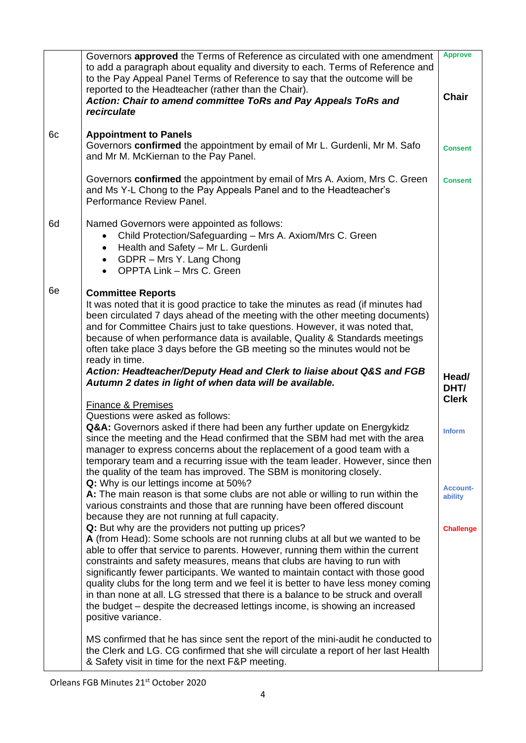|    | Governors approved the Terms of Reference as circulated with one amendment<br>to add a paragraph about equality and diversity to each. Terms of Reference and<br>to the Pay Appeal Panel Terms of Reference to say that the outcome will be<br>reported to the Headteacher (rather than the Chair).<br>Action: Chair to amend committee ToRs and Pay Appeals ToRs and<br>recirculate                                                                                                                                                                                                                                                                                                                                    | <b>Approve</b><br><b>Chair</b> |
|----|-------------------------------------------------------------------------------------------------------------------------------------------------------------------------------------------------------------------------------------------------------------------------------------------------------------------------------------------------------------------------------------------------------------------------------------------------------------------------------------------------------------------------------------------------------------------------------------------------------------------------------------------------------------------------------------------------------------------------|--------------------------------|
| 6c | <b>Appointment to Panels</b><br>Governors confirmed the appointment by email of Mr L. Gurdenli, Mr M. Safo<br>and Mr M. McKiernan to the Pay Panel.                                                                                                                                                                                                                                                                                                                                                                                                                                                                                                                                                                     | <b>Consent</b>                 |
|    | Governors confirmed the appointment by email of Mrs A. Axiom, Mrs C. Green<br>and Ms Y-L Chong to the Pay Appeals Panel and to the Headteacher's<br>Performance Review Panel.                                                                                                                                                                                                                                                                                                                                                                                                                                                                                                                                           | <b>Consent</b>                 |
| 6d | Named Governors were appointed as follows:<br>Child Protection/Safeguarding - Mrs A. Axiom/Mrs C. Green<br>$\bullet$<br>Health and Safety - Mr L. Gurdenli<br>$\bullet$<br>GDPR - Mrs Y. Lang Chong<br>$\bullet$<br><b>OPPTA Link - Mrs C. Green</b><br>$\bullet$                                                                                                                                                                                                                                                                                                                                                                                                                                                       |                                |
| 6e | <b>Committee Reports</b><br>It was noted that it is good practice to take the minutes as read (if minutes had<br>been circulated 7 days ahead of the meeting with the other meeting documents)<br>and for Committee Chairs just to take questions. However, it was noted that,<br>because of when performance data is available, Quality & Standards meetings<br>often take place 3 days before the GB meeting so the minutes would not be                                                                                                                                                                                                                                                                              |                                |
|    |                                                                                                                                                                                                                                                                                                                                                                                                                                                                                                                                                                                                                                                                                                                         |                                |
|    | ready in time.<br>Action: Headteacher/Deputy Head and Clerk to liaise about Q&S and FGB<br>Autumn 2 dates in light of when data will be available.                                                                                                                                                                                                                                                                                                                                                                                                                                                                                                                                                                      | Head/<br>DHT/                  |
|    | <b>Finance &amp; Premises</b>                                                                                                                                                                                                                                                                                                                                                                                                                                                                                                                                                                                                                                                                                           | <b>Clerk</b>                   |
|    | Questions were asked as follows:<br>Q&A: Governors asked if there had been any further update on Energykidz<br>since the meeting and the Head confirmed that the SBM had met with the area<br>manager to express concerns about the replacement of a good team with a<br>temporary team and a recurring issue with the team leader. However, since then<br>the quality of the team has improved. The SBM is monitoring closely.                                                                                                                                                                                                                                                                                         | <b>Inform</b>                  |
|    | Q: Why is our lettings income at 50%?<br>A: The main reason is that some clubs are not able or willing to run within the<br>various constraints and those that are running have been offered discount                                                                                                                                                                                                                                                                                                                                                                                                                                                                                                                   | <b>Account-</b><br>ability     |
|    | because they are not running at full capacity.<br>Q: But why are the providers not putting up prices?<br>A (from Head): Some schools are not running clubs at all but we wanted to be<br>able to offer that service to parents. However, running them within the current<br>constraints and safety measures, means that clubs are having to run with<br>significantly fewer participants. We wanted to maintain contact with those good<br>quality clubs for the long term and we feel it is better to have less money coming<br>in than none at all. LG stressed that there is a balance to be struck and overall<br>the budget – despite the decreased lettings income, is showing an increased<br>positive variance. | <b>Challenge</b>               |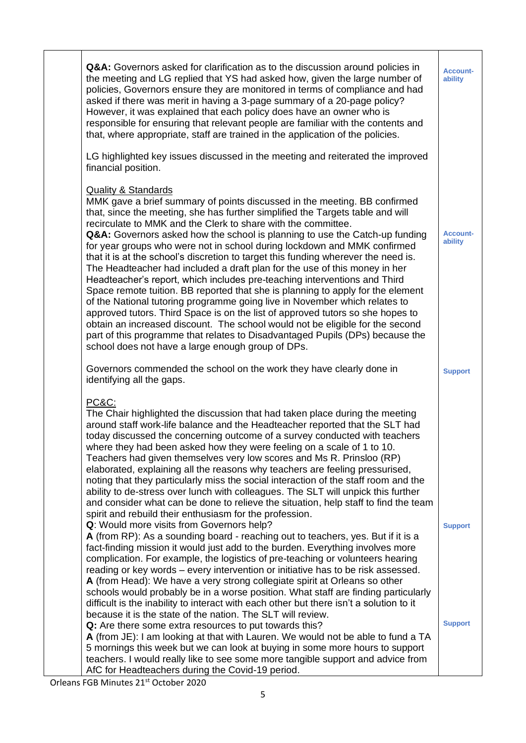| Q&A: Governors asked for clarification as to the discussion around policies in<br>the meeting and LG replied that YS had asked how, given the large number of<br>policies, Governors ensure they are monitored in terms of compliance and had<br>asked if there was merit in having a 3-page summary of a 20-page policy?<br>However, it was explained that each policy does have an owner who is<br>responsible for ensuring that relevant people are familiar with the contents and<br>that, where appropriate, staff are trained in the application of the policies.                                                                                                                                                                                                                                                                                                                                                                                                                                                                                                                                                                              | <b>Account-</b><br>ability |
|------------------------------------------------------------------------------------------------------------------------------------------------------------------------------------------------------------------------------------------------------------------------------------------------------------------------------------------------------------------------------------------------------------------------------------------------------------------------------------------------------------------------------------------------------------------------------------------------------------------------------------------------------------------------------------------------------------------------------------------------------------------------------------------------------------------------------------------------------------------------------------------------------------------------------------------------------------------------------------------------------------------------------------------------------------------------------------------------------------------------------------------------------|----------------------------|
| LG highlighted key issues discussed in the meeting and reiterated the improved<br>financial position.                                                                                                                                                                                                                                                                                                                                                                                                                                                                                                                                                                                                                                                                                                                                                                                                                                                                                                                                                                                                                                                |                            |
| <b>Quality &amp; Standards</b><br>MMK gave a brief summary of points discussed in the meeting. BB confirmed<br>that, since the meeting, she has further simplified the Targets table and will<br>recirculate to MMK and the Clerk to share with the committee.<br>Q&A: Governors asked how the school is planning to use the Catch-up funding<br>for year groups who were not in school during lockdown and MMK confirmed<br>that it is at the school's discretion to target this funding wherever the need is.<br>The Headteacher had included a draft plan for the use of this money in her<br>Headteacher's report, which includes pre-teaching interventions and Third<br>Space remote tuition. BB reported that she is planning to apply for the element<br>of the National tutoring programme going live in November which relates to<br>approved tutors. Third Space is on the list of approved tutors so she hopes to<br>obtain an increased discount. The school would not be eligible for the second<br>part of this programme that relates to Disadvantaged Pupils (DPs) because the<br>school does not have a large enough group of DPs. | <b>Account-</b><br>ability |
| Governors commended the school on the work they have clearly done in<br>identifying all the gaps.                                                                                                                                                                                                                                                                                                                                                                                                                                                                                                                                                                                                                                                                                                                                                                                                                                                                                                                                                                                                                                                    | <b>Support</b>             |
| PC&C:<br>The Chair highlighted the discussion that had taken place during the meeting<br>around staff work-life balance and the Headteacher reported that the SLT had<br>today discussed the concerning outcome of a survey conducted with teachers<br>where they had been asked how they were feeling on a scale of 1 to 10.<br>Teachers had given themselves very low scores and Ms R. Prinsloo (RP)<br>elaborated, explaining all the reasons why teachers are feeling pressurised,<br>noting that they particularly miss the social interaction of the staff room and the<br>ability to de-stress over lunch with colleagues. The SLT will unpick this further<br>and consider what can be done to relieve the situation, help staff to find the team<br>spirit and rebuild their enthusiasm for the profession.<br>Q: Would more visits from Governors help?                                                                                                                                                                                                                                                                                    | <b>Support</b>             |
| A (from RP): As a sounding board - reaching out to teachers, yes. But if it is a<br>fact-finding mission it would just add to the burden. Everything involves more<br>complication. For example, the logistics of pre-teaching or volunteers hearing<br>reading or key words - every intervention or initiative has to be risk assessed.<br>A (from Head): We have a very strong collegiate spirit at Orleans so other<br>schools would probably be in a worse position. What staff are finding particularly<br>difficult is the inability to interact with each other but there isn't a solution to it<br>because it is the state of the nation. The SLT will review.<br>Q: Are there some extra resources to put towards this?<br>A (from JE): I am looking at that with Lauren. We would not be able to fund a TA                                                                                                                                                                                                                                                                                                                                 | <b>Support</b>             |
| 5 mornings this week but we can look at buying in some more hours to support<br>teachers. I would really like to see some more tangible support and advice from<br>AfC for Headteachers during the Covid-19 period.                                                                                                                                                                                                                                                                                                                                                                                                                                                                                                                                                                                                                                                                                                                                                                                                                                                                                                                                  |                            |

Orleans FGB Minutes 21st October 2020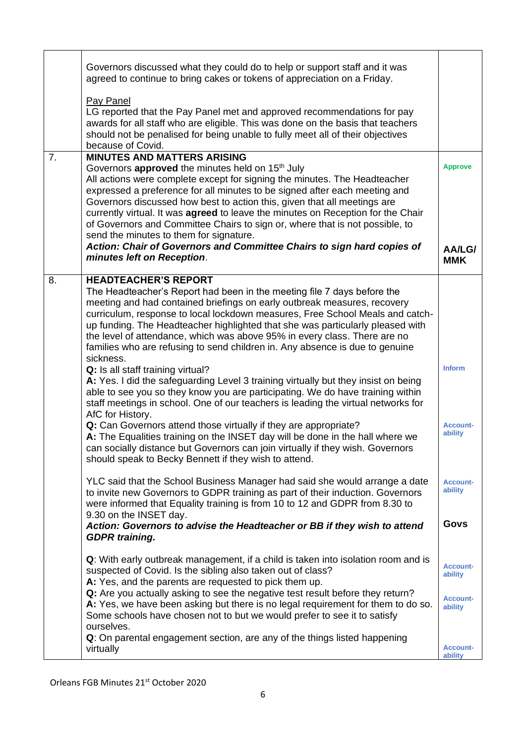|    | Governors discussed what they could do to help or support staff and it was<br>agreed to continue to bring cakes or tokens of appreciation on a Friday.                                                                                                                                                                                                                                                                                                                                                                                                                                                                             |                            |
|----|------------------------------------------------------------------------------------------------------------------------------------------------------------------------------------------------------------------------------------------------------------------------------------------------------------------------------------------------------------------------------------------------------------------------------------------------------------------------------------------------------------------------------------------------------------------------------------------------------------------------------------|----------------------------|
|    | Pay Panel<br>LG reported that the Pay Panel met and approved recommendations for pay<br>awards for all staff who are eligible. This was done on the basis that teachers<br>should not be penalised for being unable to fully meet all of their objectives<br>because of Covid.                                                                                                                                                                                                                                                                                                                                                     |                            |
| 7. | <b>MINUTES AND MATTERS ARISING</b><br>Governors approved the minutes held on 15 <sup>th</sup> July<br>All actions were complete except for signing the minutes. The Headteacher<br>expressed a preference for all minutes to be signed after each meeting and<br>Governors discussed how best to action this, given that all meetings are<br>currently virtual. It was agreed to leave the minutes on Reception for the Chair<br>of Governors and Committee Chairs to sign or, where that is not possible, to<br>send the minutes to them for signature.<br>Action: Chair of Governors and Committee Chairs to sign hard copies of | <b>Approve</b>             |
|    | minutes left on Reception.                                                                                                                                                                                                                                                                                                                                                                                                                                                                                                                                                                                                         | AA/LG/<br><b>MMK</b>       |
| 8. | <b>HEADTEACHER'S REPORT</b><br>The Headteacher's Report had been in the meeting file 7 days before the<br>meeting and had contained briefings on early outbreak measures, recovery<br>curriculum, response to local lockdown measures, Free School Meals and catch-<br>up funding. The Headteacher highlighted that she was particularly pleased with<br>the level of attendance, which was above 95% in every class. There are no<br>families who are refusing to send children in. Any absence is due to genuine                                                                                                                 |                            |
|    | sickness.<br>Q: Is all staff training virtual?<br>A: Yes. I did the safeguarding Level 3 training virtually but they insist on being<br>able to see you so they know you are participating. We do have training within<br>staff meetings in school. One of our teachers is leading the virtual networks for<br>AfC for History.                                                                                                                                                                                                                                                                                                    | <b>Inform</b>              |
|    | Q: Can Governors attend those virtually if they are appropriate?<br>A: The Equalities training on the INSET day will be done in the hall where we<br>can socially distance but Governors can join virtually if they wish. Governors<br>should speak to Becky Bennett if they wish to attend.                                                                                                                                                                                                                                                                                                                                       | <b>Account-</b><br>ability |
|    | YLC said that the School Business Manager had said she would arrange a date<br>to invite new Governors to GDPR training as part of their induction. Governors<br>were informed that Equality training is from 10 to 12 and GDPR from 8.30 to<br>9.30 on the INSET day.                                                                                                                                                                                                                                                                                                                                                             | <b>Account-</b><br>ability |
|    | Action: Governors to advise the Headteacher or BB if they wish to attend<br><b>GDPR</b> training.                                                                                                                                                                                                                                                                                                                                                                                                                                                                                                                                  | <b>Govs</b>                |
|    | Q: With early outbreak management, if a child is taken into isolation room and is<br>suspected of Covid. Is the sibling also taken out of class?<br>A: Yes, and the parents are requested to pick them up.                                                                                                                                                                                                                                                                                                                                                                                                                         | <b>Account-</b><br>ability |
|    | Q: Are you actually asking to see the negative test result before they return?<br>A: Yes, we have been asking but there is no legal requirement for them to do so.<br>Some schools have chosen not to but we would prefer to see it to satisfy<br>ourselves.                                                                                                                                                                                                                                                                                                                                                                       | <b>Account-</b><br>ability |
|    | Q: On parental engagement section, are any of the things listed happening<br>virtually                                                                                                                                                                                                                                                                                                                                                                                                                                                                                                                                             | <b>Account-</b><br>ability |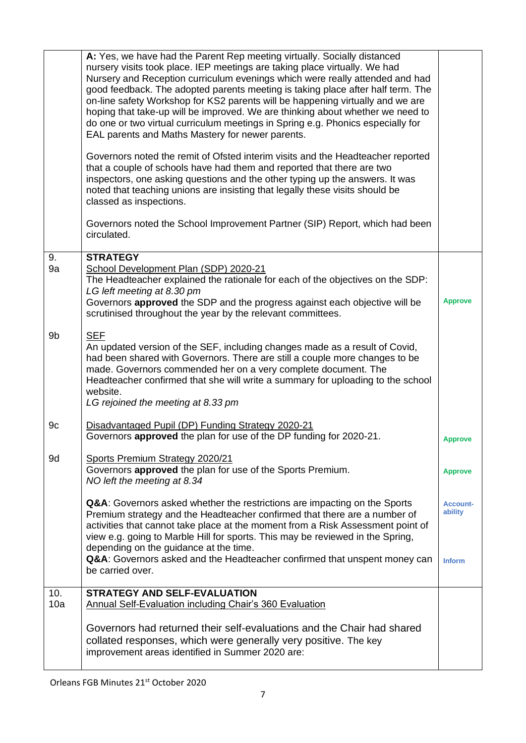|            | A: Yes, we have had the Parent Rep meeting virtually. Socially distanced                                                                                                                                                                                                                                                                                                                                                                                                                                                                                 |                                             |
|------------|----------------------------------------------------------------------------------------------------------------------------------------------------------------------------------------------------------------------------------------------------------------------------------------------------------------------------------------------------------------------------------------------------------------------------------------------------------------------------------------------------------------------------------------------------------|---------------------------------------------|
|            | nursery visits took place. IEP meetings are taking place virtually. We had<br>Nursery and Reception curriculum evenings which were really attended and had<br>good feedback. The adopted parents meeting is taking place after half term. The<br>on-line safety Workshop for KS2 parents will be happening virtually and we are<br>hoping that take-up will be improved. We are thinking about whether we need to<br>do one or two virtual curriculum meetings in Spring e.g. Phonics especially for<br>EAL parents and Maths Mastery for newer parents. |                                             |
|            | Governors noted the remit of Ofsted interim visits and the Headteacher reported<br>that a couple of schools have had them and reported that there are two<br>inspectors, one asking questions and the other typing up the answers. It was<br>noted that teaching unions are insisting that legally these visits should be<br>classed as inspections.                                                                                                                                                                                                     |                                             |
|            | Governors noted the School Improvement Partner (SIP) Report, which had been<br>circulated.                                                                                                                                                                                                                                                                                                                                                                                                                                                               |                                             |
| 9.<br>9a   | <b>STRATEGY</b><br>School Development Plan (SDP) 2020-21<br>The Headteacher explained the rationale for each of the objectives on the SDP:<br>LG left meeting at 8.30 pm<br>Governors approved the SDP and the progress against each objective will be<br>scrutinised throughout the year by the relevant committees.                                                                                                                                                                                                                                    | <b>Approve</b>                              |
| 9b         | <b>SEF</b><br>An updated version of the SEF, including changes made as a result of Covid,<br>had been shared with Governors. There are still a couple more changes to be<br>made. Governors commended her on a very complete document. The<br>Headteacher confirmed that she will write a summary for uploading to the school<br>website.<br>LG rejoined the meeting at 8.33 pm                                                                                                                                                                          |                                             |
| 9c         | Disadvantaged Pupil (DP) Funding Strategy 2020-21<br>Governors approved the plan for use of the DP funding for 2020-21.                                                                                                                                                                                                                                                                                                                                                                                                                                  | <b>Approve</b>                              |
| 9d         | Sports Premium Strategy 2020/21<br>Governors approved the plan for use of the Sports Premium.<br>NO left the meeting at 8.34                                                                                                                                                                                                                                                                                                                                                                                                                             | <b>Approve</b>                              |
|            | Q&A: Governors asked whether the restrictions are impacting on the Sports<br>Premium strategy and the Headteacher confirmed that there are a number of<br>activities that cannot take place at the moment from a Risk Assessment point of<br>view e.g. going to Marble Hill for sports. This may be reviewed in the Spring,<br>depending on the guidance at the time.<br>Q&A: Governors asked and the Headteacher confirmed that unspent money can                                                                                                       | <b>Account-</b><br>ability<br><b>Inform</b> |
|            | be carried over.                                                                                                                                                                                                                                                                                                                                                                                                                                                                                                                                         |                                             |
| 10.<br>10a | <b>STRATEGY AND SELF-EVALUATION</b><br><b>Annual Self-Evaluation including Chair's 360 Evaluation</b>                                                                                                                                                                                                                                                                                                                                                                                                                                                    |                                             |
|            | Governors had returned their self-evaluations and the Chair had shared<br>collated responses, which were generally very positive. The key<br>improvement areas identified in Summer 2020 are:                                                                                                                                                                                                                                                                                                                                                            |                                             |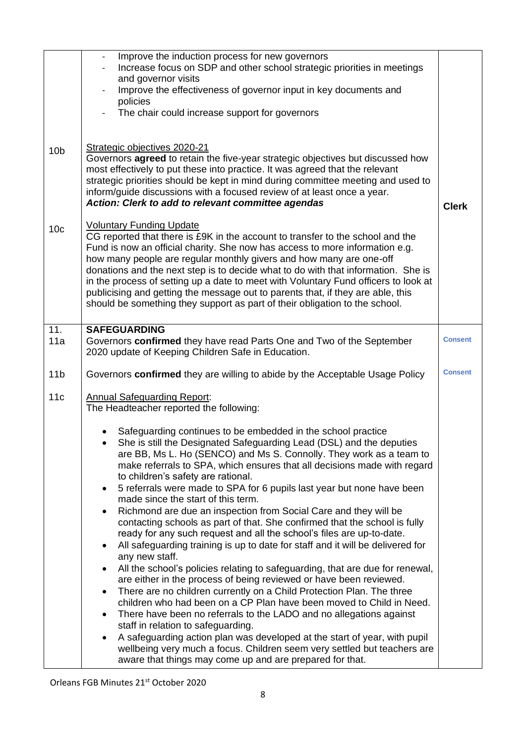| 10 <sub>b</sub>                                                                                                                                                                                                                                                                                                                                                                                                                                                                                                                                                                                                                                                                                 | Improve the induction process for new governors<br>Increase focus on SDP and other school strategic priorities in meetings<br>and governor visits<br>Improve the effectiveness of governor input in key documents and<br>policies<br>The chair could increase support for governors<br>Strategic objectives 2020-21<br>Governors agreed to retain the five-year strategic objectives but discussed how<br>most effectively to put these into practice. It was agreed that the relevant<br>strategic priorities should be kept in mind during committee meeting and used to<br>inform/guide discussions with a focused review of at least once a year.                                                                                                                                                                                                                                                                                                                                                                                                                                                                                                                                                                                                                                                                                                                                                                                                                                                                                                                                 |                |  |
|-------------------------------------------------------------------------------------------------------------------------------------------------------------------------------------------------------------------------------------------------------------------------------------------------------------------------------------------------------------------------------------------------------------------------------------------------------------------------------------------------------------------------------------------------------------------------------------------------------------------------------------------------------------------------------------------------|---------------------------------------------------------------------------------------------------------------------------------------------------------------------------------------------------------------------------------------------------------------------------------------------------------------------------------------------------------------------------------------------------------------------------------------------------------------------------------------------------------------------------------------------------------------------------------------------------------------------------------------------------------------------------------------------------------------------------------------------------------------------------------------------------------------------------------------------------------------------------------------------------------------------------------------------------------------------------------------------------------------------------------------------------------------------------------------------------------------------------------------------------------------------------------------------------------------------------------------------------------------------------------------------------------------------------------------------------------------------------------------------------------------------------------------------------------------------------------------------------------------------------------------------------------------------------------------|----------------|--|
| Action: Clerk to add to relevant committee agendas<br><b>Voluntary Funding Update</b><br>10 <sub>c</sub><br>CG reported that there is £9K in the account to transfer to the school and the<br>Fund is now an official charity. She now has access to more information e.g.<br>how many people are regular monthly givers and how many are one-off<br>donations and the next step is to decide what to do with that information. She is<br>in the process of setting up a date to meet with Voluntary Fund officers to look at<br>publicising and getting the message out to parents that, if they are able, this<br>should be something they support as part of their obligation to the school. |                                                                                                                                                                                                                                                                                                                                                                                                                                                                                                                                                                                                                                                                                                                                                                                                                                                                                                                                                                                                                                                                                                                                                                                                                                                                                                                                                                                                                                                                                                                                                                                       | <b>Clerk</b>   |  |
| 11.<br>11a                                                                                                                                                                                                                                                                                                                                                                                                                                                                                                                                                                                                                                                                                      | <b>SAFEGUARDING</b><br>Governors confirmed they have read Parts One and Two of the September                                                                                                                                                                                                                                                                                                                                                                                                                                                                                                                                                                                                                                                                                                                                                                                                                                                                                                                                                                                                                                                                                                                                                                                                                                                                                                                                                                                                                                                                                          | <b>Consent</b> |  |
|                                                                                                                                                                                                                                                                                                                                                                                                                                                                                                                                                                                                                                                                                                 | 2020 update of Keeping Children Safe in Education.                                                                                                                                                                                                                                                                                                                                                                                                                                                                                                                                                                                                                                                                                                                                                                                                                                                                                                                                                                                                                                                                                                                                                                                                                                                                                                                                                                                                                                                                                                                                    |                |  |
| 11 <sub>b</sub>                                                                                                                                                                                                                                                                                                                                                                                                                                                                                                                                                                                                                                                                                 | <b>Consent</b><br>Governors confirmed they are willing to abide by the Acceptable Usage Policy                                                                                                                                                                                                                                                                                                                                                                                                                                                                                                                                                                                                                                                                                                                                                                                                                                                                                                                                                                                                                                                                                                                                                                                                                                                                                                                                                                                                                                                                                        |                |  |
| 11c                                                                                                                                                                                                                                                                                                                                                                                                                                                                                                                                                                                                                                                                                             | <b>Annual Safeguarding Report:</b><br>The Headteacher reported the following:<br>Safeguarding continues to be embedded in the school practice<br>She is still the Designated Safeguarding Lead (DSL) and the deputies<br>are BB, Ms L. Ho (SENCO) and Ms S. Connolly. They work as a team to<br>make referrals to SPA, which ensures that all decisions made with regard<br>to children's safety are rational.<br>5 referrals were made to SPA for 6 pupils last year but none have been<br>made since the start of this term.<br>Richmond are due an inspection from Social Care and they will be<br>$\bullet$<br>contacting schools as part of that. She confirmed that the school is fully<br>ready for any such request and all the school's files are up-to-date.<br>All safeguarding training is up to date for staff and it will be delivered for<br>$\bullet$<br>any new staff.<br>All the school's policies relating to safeguarding, that are due for renewal,<br>$\bullet$<br>are either in the process of being reviewed or have been reviewed.<br>There are no children currently on a Child Protection Plan. The three<br>$\bullet$<br>children who had been on a CP Plan have been moved to Child in Need.<br>There have been no referrals to the LADO and no allegations against<br>$\bullet$<br>staff in relation to safeguarding.<br>A safeguarding action plan was developed at the start of year, with pupil<br>$\bullet$<br>wellbeing very much a focus. Children seem very settled but teachers are<br>aware that things may come up and are prepared for that. |                |  |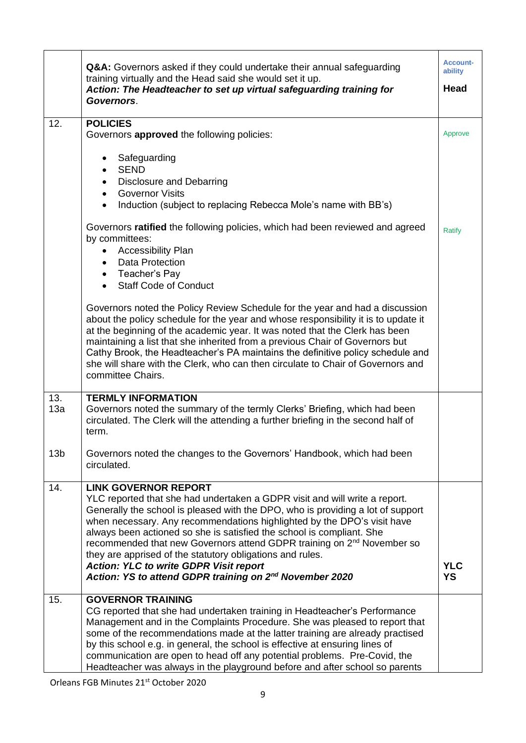|                 | Q&A: Governors asked if they could undertake their annual safeguarding<br>training virtually and the Head said she would set it up.<br>Action: The Headteacher to set up virtual safeguarding training for<br>Governors.                                                                                                                                                                                                                                                                                                                                                                                                    | <b>Account-</b><br>ability<br>Head |
|-----------------|-----------------------------------------------------------------------------------------------------------------------------------------------------------------------------------------------------------------------------------------------------------------------------------------------------------------------------------------------------------------------------------------------------------------------------------------------------------------------------------------------------------------------------------------------------------------------------------------------------------------------------|------------------------------------|
| 12.             | <b>POLICIES</b><br>Governors approved the following policies:                                                                                                                                                                                                                                                                                                                                                                                                                                                                                                                                                               | Approve                            |
|                 | Safeguarding<br>$\bullet$<br><b>SEND</b><br>$\bullet$<br><b>Disclosure and Debarring</b><br>$\bullet$<br>• Governor Visits<br>Induction (subject to replacing Rebecca Mole's name with BB's)<br>$\bullet$                                                                                                                                                                                                                                                                                                                                                                                                                   |                                    |
|                 | Governors ratified the following policies, which had been reviewed and agreed<br>by committees:<br><b>Accessibility Plan</b><br>$\bullet$<br>Data Protection<br>$\bullet$<br>• Teacher's Pay<br><b>Staff Code of Conduct</b><br>$\bullet$                                                                                                                                                                                                                                                                                                                                                                                   | <b>Ratify</b>                      |
|                 | Governors noted the Policy Review Schedule for the year and had a discussion<br>about the policy schedule for the year and whose responsibility it is to update it<br>at the beginning of the academic year. It was noted that the Clerk has been<br>maintaining a list that she inherited from a previous Chair of Governors but<br>Cathy Brook, the Headteacher's PA maintains the definitive policy schedule and<br>she will share with the Clerk, who can then circulate to Chair of Governors and<br>committee Chairs.                                                                                                 |                                    |
| 13.<br>13a      | <b>TERMLY INFORMATION</b><br>Governors noted the summary of the termly Clerks' Briefing, which had been<br>circulated. The Clerk will the attending a further briefing in the second half of<br>term.                                                                                                                                                                                                                                                                                                                                                                                                                       |                                    |
| 13 <sub>b</sub> | Governors noted the changes to the Governors' Handbook, which had been<br>circulated.                                                                                                                                                                                                                                                                                                                                                                                                                                                                                                                                       |                                    |
| 14.             | <b>LINK GOVERNOR REPORT</b><br>YLC reported that she had undertaken a GDPR visit and will write a report.<br>Generally the school is pleased with the DPO, who is providing a lot of support<br>when necessary. Any recommendations highlighted by the DPO's visit have<br>always been actioned so she is satisfied the school is compliant. She<br>recommended that new Governors attend GDPR training on 2 <sup>nd</sup> November so<br>they are apprised of the statutory obligations and rules.<br><b>Action: YLC to write GDPR Visit report</b><br>Action: YS to attend GDPR training on 2 <sup>nd</sup> November 2020 | <b>YLC</b><br><b>YS</b>            |
| 15.             | <b>GOVERNOR TRAINING</b><br>CG reported that she had undertaken training in Headteacher's Performance<br>Management and in the Complaints Procedure. She was pleased to report that<br>some of the recommendations made at the latter training are already practised<br>by this school e.g. in general, the school is effective at ensuring lines of<br>communication are open to head off any potential problems. Pre-Covid, the<br>Headteacher was always in the playground before and after school so parents                                                                                                            |                                    |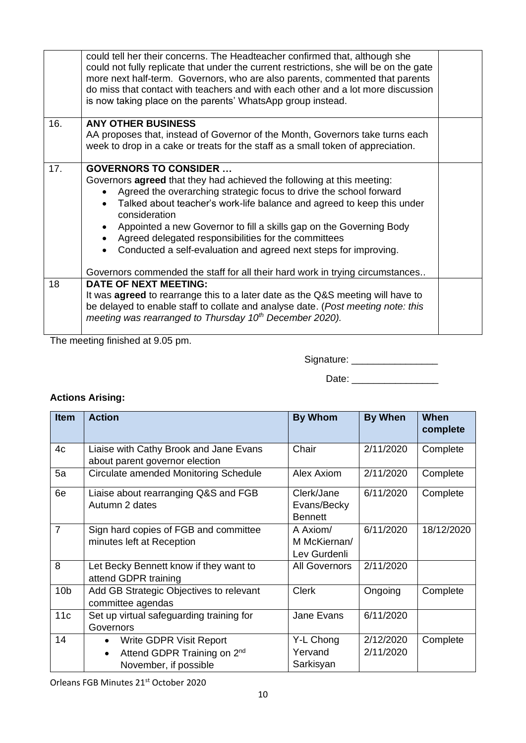|     | could tell her their concerns. The Headteacher confirmed that, although she<br>could not fully replicate that under the current restrictions, she will be on the gate<br>more next half-term. Governors, who are also parents, commented that parents<br>do miss that contact with teachers and with each other and a lot more discussion<br>is now taking place on the parents' WhatsApp group instead.                                                                                                                                                            |  |
|-----|---------------------------------------------------------------------------------------------------------------------------------------------------------------------------------------------------------------------------------------------------------------------------------------------------------------------------------------------------------------------------------------------------------------------------------------------------------------------------------------------------------------------------------------------------------------------|--|
| 16. | <b>ANY OTHER BUSINESS</b><br>AA proposes that, instead of Governor of the Month, Governors take turns each<br>week to drop in a cake or treats for the staff as a small token of appreciation.                                                                                                                                                                                                                                                                                                                                                                      |  |
| 17. | <b>GOVERNORS TO CONSIDER </b><br>Governors <b>agreed</b> that they had achieved the following at this meeting:<br>Agreed the overarching strategic focus to drive the school forward<br>Talked about teacher's work-life balance and agreed to keep this under<br>consideration<br>Appointed a new Governor to fill a skills gap on the Governing Body<br>Agreed delegated responsibilities for the committees<br>Conducted a self-evaluation and agreed next steps for improving.<br>Governors commended the staff for all their hard work in trying circumstances |  |
| 18  | <b>DATE OF NEXT MEETING:</b><br>It was <b>agreed</b> to rearrange this to a later date as the Q&S meeting will have to<br>be delayed to enable staff to collate and analyse date. (Post meeting note: this<br>meeting was rearranged to Thursday 10 <sup>th</sup> December 2020).                                                                                                                                                                                                                                                                                   |  |

The meeting finished at 9.05 pm.

Signature: \_\_\_\_\_\_\_\_\_\_\_\_\_\_\_\_

Date: \_\_\_\_\_\_\_\_\_\_\_\_\_\_\_\_

# **Actions Arising:**

| <b>Item</b>     | <b>Action</b>                                                                                                         | <b>By Whom</b>                              | <b>By When</b>         | When<br>complete |
|-----------------|-----------------------------------------------------------------------------------------------------------------------|---------------------------------------------|------------------------|------------------|
| 4c              | Liaise with Cathy Brook and Jane Evans<br>about parent governor election                                              | Chair                                       | 2/11/2020              | Complete         |
| 5a              | Circulate amended Monitoring Schedule                                                                                 | Alex Axiom                                  | 2/11/2020              | Complete         |
| 6e              | Liaise about rearranging Q&S and FGB<br>Autumn 2 dates                                                                | Clerk/Jane<br>Evans/Becky<br><b>Bennett</b> | 6/11/2020              | Complete         |
| $\overline{7}$  | Sign hard copies of FGB and committee<br>minutes left at Reception                                                    | A Axiom/<br>M McKiernan/<br>Lev Gurdenli    | 6/11/2020              | 18/12/2020       |
| 8               | Let Becky Bennett know if they want to<br>attend GDPR training                                                        | <b>All Governors</b>                        | 2/11/2020              |                  |
| 10 <sub>b</sub> | Add GB Strategic Objectives to relevant<br>committee agendas                                                          | <b>Clerk</b>                                | Ongoing                | Complete         |
| 11c             | Set up virtual safeguarding training for<br>Governors                                                                 | Jane Evans                                  | 6/11/2020              |                  |
| 14              | Write GDPR Visit Report<br>$\bullet$<br>Attend GDPR Training on 2 <sup>nd</sup><br>$\bullet$<br>November, if possible | Y-L Chong<br>Yervand<br>Sarkisyan           | 2/12/2020<br>2/11/2020 | Complete         |